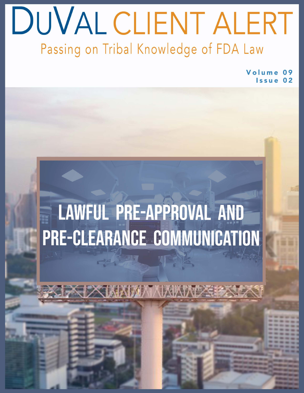## DUVAL CLIENT ALERT Passing on Tribal Knowledge of FDA Law

Volume Issue

# LAWFUL PRE-APPROVAL AND PRE-CLEARANCE COMMUNICATION

JXMAMAANAKKAXXX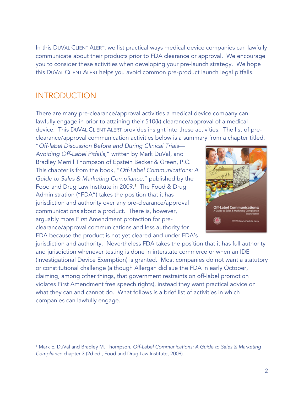In this DUVAL CLIENT ALERT, we list practical ways medical device companies can lawfully communicate about their products prior to FDA clearance or approval. We encourage you to consider these activities when developing your pre-launch strategy. We hope this DUVAL CLIENT ALERT helps you avoid common pre-product launch legal pitfalls.

#### INTRODUCTION

There are many pre-clearance/approval activities a medical device company can lawfully engage in prior to attaining their 510(k) clearance/approval of a medical device. This DUVAL CLIENT ALERT provides insight into these activities. The list of preclearance/approval communication activities below is a summary from a chapter titled,

"*Off-label Discussion Before and During Clinical Trials— Avoiding Off-Label Pitfalls*," written by Mark DuVal, and Bradley Merrill Thompson of Epstein Becker & Green, P.C. This chapter is from the book, "*Off-Label Communications: A Guide to Sales & Marketing Compliance*," published by the Food and Drug Law Institute in 2009.<sup>1</sup> The Food & Drug Administration ("FDA") takes the position that it has jurisdiction and authority over any pre-clearance/approval communications about a product. There is, however, arguably more First Amendment protection for preclearance/approval communications and less authority for FDA because the product is not yet cleared and under FDA's



jurisdiction and authority. Nevertheless FDA takes the position that it has full authority and jurisdiction whenever testing is done in interstate commerce or when an IDE (Investigational Device Exemption) is granted. Most companies do not want a statutory or constitutional challenge (although Allergan did sue the FDA in early October, claiming, among other things, that government restraints on off-label promotion violates First Amendment free speech rights), instead they want practical advice on what they can and cannot do. What follows is a brief list of activities in which companies can lawfully engage.

<sup>1</sup> Mark E. DuVal and Bradley M. Thompson, *Off-Label Communications: A Guide to Sales & Marketing Compliance* chapter 3 (2d ed., Food and Drug Law Institute, 2009).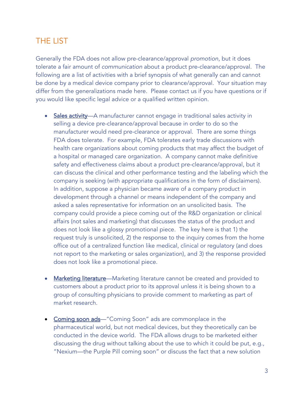#### THE LIST

Generally the FDA does not allow pre-clearance/approval *promotion*, but it does tolerate a fair amount of *communication* about a product pre-clearance/approval. The following are a list of activities with a brief synopsis of what generally can and cannot be done by a medical device company prior to clearance/approval. Your situation may differ from the generalizations made here. Please contact us if you have questions or if you would like specific legal advice or a qualified written opinion.

- Sales activity—A manufacturer cannot engage in traditional sales activity in selling a device pre-clearance/approval because in order to do so the manufacturer would need pre-clearance or approval. There are some things FDA does tolerate. For example, FDA tolerates early trade discussions with health care organizations about coming products that may affect the budget of a hospital or managed care organization. A company cannot make definitive safety and effectiveness claims about a product pre-clearance/approval, but it can discuss the clinical and other performance testing and the labeling which the company is seeking (with appropriate qualifications in the form of disclaimers). In addition, suppose a physician became aware of a company product in development through a channel or means independent of the company and asked a sales representative for information on an unsolicited basis. The company could provide a piece coming out of the R&D organization or clinical affairs (not sales and marketing) that discusses the status of the product and does not look like a glossy promotional piece. The key here is that 1) the request truly is unsolicited, 2) the response to the inquiry comes from the home office out of a centralized function like medical, clinical or regulatory (and does not report to the marketing or sales organization), and 3) the response provided does not look like a promotional piece.
- Marketing literature—Marketing literature cannot be created and provided to customers about a product prior to its approval unless it is being shown to a group of consulting physicians to provide comment to marketing as part of market research.
- Coming soon ads-"Coming Soon" ads are commonplace in the pharmaceutical world, but not medical devices, but they theoretically can be conducted in the device world. The FDA allows drugs to be marketed either discussing the drug without talking about the use to which it could be put, e.g., "Nexium—the Purple Pill coming soon" or discuss the fact that a new solution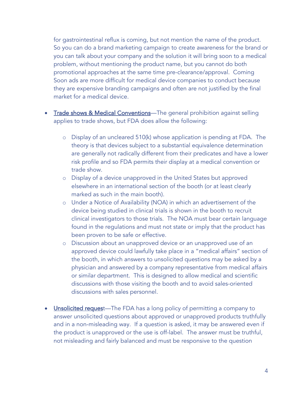for gastrointestinal reflux is coming, but not mention the name of the product. So you can do a brand marketing campaign to create awareness for the brand or you can talk about your company and the solution it will bring soon to a medical problem, without mentioning the product name, but you cannot do both promotional approaches at the same time pre-clearance/approval. Coming Soon ads are more difficult for medical device companies to conduct because they are expensive branding campaigns and often are not justified by the final market for a medical device.

- Trade shows & Medical Conventions—The general prohibition against selling applies to trade shows, but FDA does allow the following:
	- o Display of an uncleared 510(k) whose application is pending at FDA. The theory is that devices subject to a substantial equivalence determination are generally not radically different from their predicates and have a lower risk profile and so FDA permits their display at a medical convention or trade show.
	- o Display of a device unapproved in the United States but approved elsewhere in an international section of the booth (or at least clearly marked as such in the main booth).
	- o Under a Notice of Availability (NOA) in which an advertisement of the device being studied in clinical trials is shown in the booth to recruit clinical investigators to those trials. The NOA must bear certain language found in the regulations and must not state or imply that the product has been proven to be safe or effective.
	- o Discussion about an unapproved device or an unapproved use of an approved device could lawfully take place in a "medical affairs" section of the booth, in which answers to unsolicited questions may be asked by a physician and answered by a company representative from medical affairs or similar department. This is designed to allow medical and scientific discussions with those visiting the booth and to avoid sales-oriented discussions with sales personnel.
- Unsolicited request—The FDA has a long policy of permitting a company to answer unsolicited questions about approved or unapproved products truthfully and in a non-misleading way. If a question is asked, it may be answered even if the product is unapproved or the use is off-label. The answer must be truthful, not misleading and fairly balanced and must be responsive to the question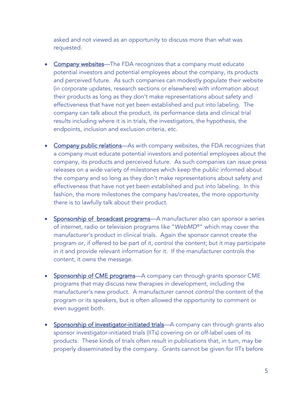asked and not viewed as an opportunity to discuss more than what was requested.

- Company websites-The FDA recognizes that a company must educate potential investors and potential employees about the company, its products and perceived future. As such companies can modestly populate their website (in corporate updates, research sections or elsewhere) with information about their products as long as they don't make representations about safety and effectiveness that have not yet been established and put into labeling. The company can talk about the product, its performance data and clinical trial results including where it is in trials, the investigators, the hypothesis, the endpoints, inclusion and exclusion criteria, etc.
- Company public relations-As with company websites, the FDA recognizes that a company must educate potential investors and potential employees about the company, its products and perceived future. As such companies can issue press releases on a wide variety of milestones which keep the public informed about the company and so long as they don't make representations about safety and effectiveness that have not yet been established and put into labeling. In this fashion, the more milestones the company has/creates, the more opportunity there is to lawfully talk about their product.
- Sponsorship of broadcast programs—A manufacturer also can sponsor a series of internet, radio or television programs like "*WebMD*®" which may cover the manufacturer's product in clinical trials. Again the sponsor cannot create the program or, if offered to be part of it, control the content; but it may participate in it and provide relevant information for it. If the manufacturer controls the content, it owns the message.
- Sponsorship of CME programs—A company can through grants sponsor CME programs that may discuss new therapies in development, including the manufacturer's new product. A manufacturer cannot *control* the content of the program or its speakers, but is often allowed the opportunity to comment or even suggest both.
- Sponsorship of investigator-initiated trials—A company can through grants also sponsor investigator-initiated trials (IITs) covering on or off-label uses of its products. These kinds of trials often result in publications that, in turn, may be properly disseminated by the company. Grants cannot be given for IITs before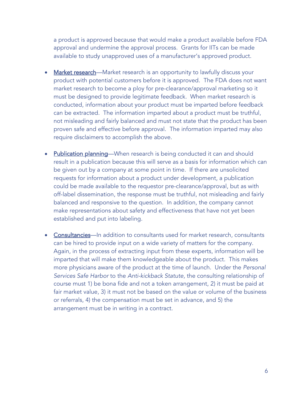a product is approved because that would make a product available before FDA approval and undermine the approval process. Grants for IITs can be made available to study unapproved uses of a manufacturer's approved product.

- **Market research**—Market research is an opportunity to lawfully discuss your product with potential customers before it is approved. The FDA does not want market research to become a ploy for pre-clearance/approval marketing so it must be designed to provide legitimate feedback. When market research is conducted, information about your product must be imparted before feedback can be extracted. The information imparted about a product must be truthful, not misleading and fairly balanced and must not state that the product has been proven safe and effective before approval. The information imparted may also require disclaimers to accomplish the above.
- Publication planning—When research is being conducted it can and should result in a publication because this will serve as a basis for information which can be given out by a company at some point in time. If there are unsolicited requests for information about a product under development, a publication could be made available to the requestor pre-clearance/approval, but as with off-label dissemination, the response must be truthful, not misleading and fairly balanced and responsive to the question. In addition, the company cannot make representations about safety and effectiveness that have not yet been established and put into labeling.
- Consultancies—In addition to consultants used for market research, consultants can be hired to provide input on a wide variety of matters for the company. Again, in the process of extracting input from these experts, information will be imparted that will make them knowledgeable about the product. This makes more physicians aware of the product at the time of launch. Under the *Personal Services Safe Harbor* to the *Anti-kickback Statute,* the consulting relationship of course must 1) be bona fide and not a token arrangement, 2) it must be paid at fair market value, 3) it must not be based on the value or volume of the business or referrals, 4) the compensation must be set in advance, and 5) the arrangement must be in writing in a contract.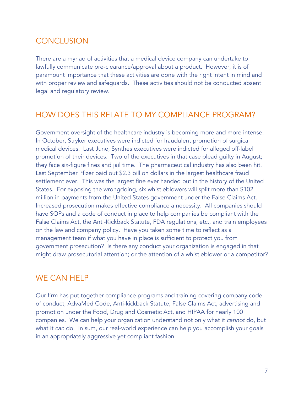### CONCLUSION

There are a myriad of activities that a medical device company can undertake to lawfully communicate pre-clearance/approval about a product. However, it is of paramount importance that these activities are done with the right intent in mind and with proper review and safeguards. These activities should not be conducted absent legal and regulatory review.

#### HOW DOES THIS RELATE TO MY COMPLIANCE PROGRAM?

Government oversight of the healthcare industry is becoming more and more intense. In October, Stryker executives were indicted for fraudulent promotion of surgical medical devices. Last June, Synthes executives were indicted for alleged off-label promotion of their devices. Two of the executives in that case plead guilty in August; they face six-figure fines and jail time. The pharmaceutical industry has also been hit. Last September Pfizer paid out \$2.3 billion dollars in the largest healthcare fraud settlement ever. This was the largest fine ever handed out in the history of the United States. For exposing the wrongdoing, six whistleblowers will split more than \$102 million in payments from the United States government under the False Claims Act. Increased prosecution makes effective compliance a necessity. All companies should have SOPs and a code of conduct in place to help companies be compliant with the False Claims Act, the Anti-Kickback Statute, FDA regulations, etc., and train employees on the law and company policy. Have you taken some time to reflect as a management team if what you have in place is sufficient to protect you from government prosecution? Is there any conduct your organization is engaged in that might draw prosecutorial attention; or the attention of a whistleblower or a competitor?

#### WE CAN HELP

Our firm has put together compliance programs and training covering company code of conduct, AdvaMed Code, Anti-kickback Statute, False Claims Act, advertising and promotion under the Food, Drug and Cosmetic Act, and HIPAA for nearly 100 companies. We can help your organization understand not only what it *cannot* do, but what it *can* do. In sum, our real-world experience can help you accomplish your goals in an appropriately aggressive yet compliant fashion.